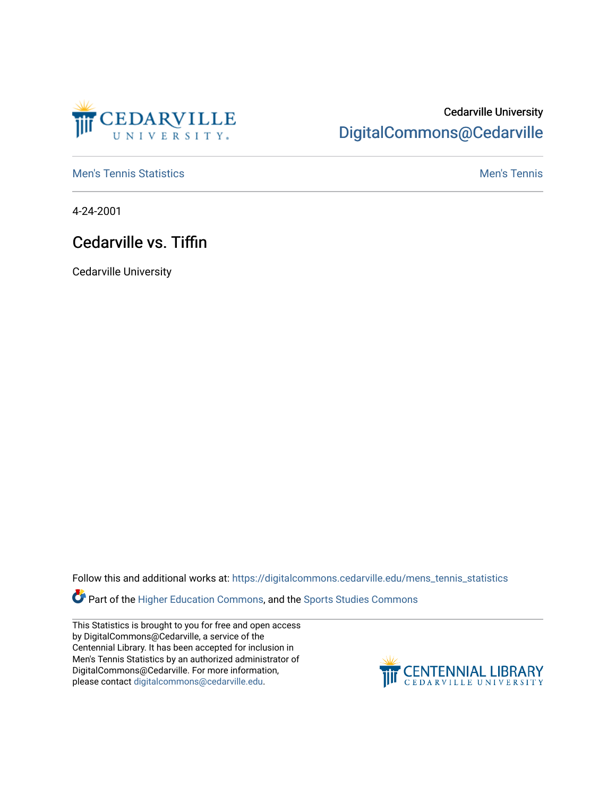

## Cedarville University [DigitalCommons@Cedarville](https://digitalcommons.cedarville.edu/)

**[Men's Tennis Statistics](https://digitalcommons.cedarville.edu/mens_tennis_statistics) Mental According to the Control of Control According Mental Men's Tennis** 

4-24-2001

## Cedarville vs. Tiffin

Cedarville University

Follow this and additional works at: [https://digitalcommons.cedarville.edu/mens\\_tennis\\_statistics](https://digitalcommons.cedarville.edu/mens_tennis_statistics?utm_source=digitalcommons.cedarville.edu%2Fmens_tennis_statistics%2F487&utm_medium=PDF&utm_campaign=PDFCoverPages)

**Part of the [Higher Education Commons,](http://network.bepress.com/hgg/discipline/1245?utm_source=digitalcommons.cedarville.edu%2Fmens_tennis_statistics%2F487&utm_medium=PDF&utm_campaign=PDFCoverPages) and the Sports Studies Commons** 

This Statistics is brought to you for free and open access by DigitalCommons@Cedarville, a service of the Centennial Library. It has been accepted for inclusion in Men's Tennis Statistics by an authorized administrator of DigitalCommons@Cedarville. For more information, please contact [digitalcommons@cedarville.edu](mailto:digitalcommons@cedarville.edu).